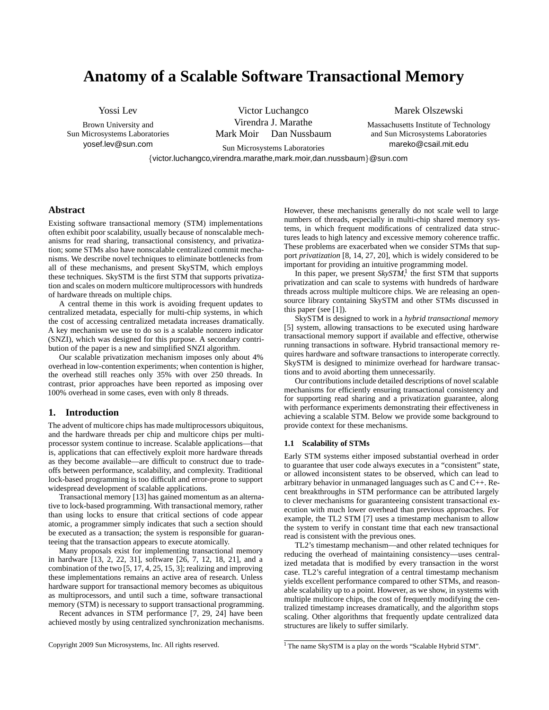# **Anatomy of a Scalable Software Transactional Memory**

Yossi Lev

Brown University and Sun Microsystems Laboratories yosef.lev@sun.com

Victor Luchangco Virendra J. Marathe Mark Moir Dan Nussbaum Marek Olszewski

Massachusetts Institute of Technology and Sun Microsystems Laboratories mareko@csail.mit.edu

Sun Microsystems Laboratories {victor.luchangco,virendra.marathe,mark.moir,dan.nussbaum}@sun.com

## **Abstract**

Existing software transactional memory (STM) implementations often exhibit poor scalability, usually because of nonscalable mechanisms for read sharing, transactional consistency, and privatization; some STMs also have nonscalable centralized commit mechanisms. We describe novel techniques to eliminate bottlenecks from all of these mechanisms, and present SkySTM, which employs these techniques. SkySTM is the first STM that supports privatization and scales on modern multicore multiprocessors with hundreds of hardware threads on multiple chips.

A central theme in this work is avoiding frequent updates to centralized metadata, especially for multi-chip systems, in which the cost of accessing centralized metadata increases dramatically. A key mechanism we use to do so is a scalable nonzero indicator (SNZI), which was designed for this purpose. A secondary contribution of the paper is a new and simplified SNZI algorithm.

Our scalable privatization mechanism imposes only about 4% overhead in low-contention experiments; when contention is higher, the overhead still reaches only 35% with over 250 threads. In contrast, prior approaches have been reported as imposing over 100% overhead in some cases, even with only 8 threads.

# **1. Introduction**

The advent of multicore chips has made multiprocessors ubiquitous, and the hardware threads per chip and multicore chips per multiprocessor system continue to increase. Scalable applications—that is, applications that can effectively exploit more hardware threads as they become available—are difficult to construct due to tradeoffs between performance, scalability, and complexity. Traditional lock-based programming is too difficult and error-prone to support widespread development of scalable applications.

Transactional memory [13] has gained momentum as an alternative to lock-based programming. With transactional memory, rather than using locks to ensure that critical sections of code appear atomic, a programmer simply indicates that such a section should be executed as a transaction; the system is responsible for guaranteeing that the transaction appears to execute atomically.

Many proposals exist for implementing transactional memory in hardware [13, 2, 22, 31], software [26, 7, 12, 18, 21], and a combination of the two [5, 17, 4, 25, 15, 3]; realizing and improving these implementations remains an active area of research. Unless hardware support for transactional memory becomes as ubiquitous as multiprocessors, and until such a time, software transactional memory (STM) is necessary to support transactional programming.

Recent advances in STM performance [7, 29, 24] have been achieved mostly by using centralized synchronization mechanisms. However, these mechanisms generally do not scale well to large numbers of threads, especially in multi-chip shared memory systems, in which frequent modifications of centralized data structures leads to high latency and excessive memory coherence traffic. These problems are exacerbated when we consider STMs that support *privatization* [8, 14, 27, 20], which is widely considered to be important for providing an intuitive programming model.

In this paper, we present  $SkySTM$ , the first STM that supports privatization and can scale to systems with hundreds of hardware threads across multiple multicore chips. We are releasing an opensource library containing SkySTM and other STMs discussed in this paper (see [1]).

SkySTM is designed to work in a *hybrid transactional memory* [5] system, allowing transactions to be executed using hardware transactional memory support if available and effective, otherwise running transactions in software. Hybrid transactional memory requires hardware and software transactions to interoperate correctly. SkySTM is designed to minimize overhead for hardware transactions and to avoid aborting them unnecessarily.

Our contributions include detailed descriptions of novel scalable mechanisms for efficiently ensuring transactional consistency and for supporting read sharing and a privatization guarantee, along with performance experiments demonstrating their effectiveness in achieving a scalable STM. Below we provide some background to provide context for these mechanisms.

## **1.1 Scalability of STMs**

Early STM systems either imposed substantial overhead in order to guarantee that user code always executes in a "consistent" state, or allowed inconsistent states to be observed, which can lead to arbitrary behavior in unmanaged languages such as C and C++. Recent breakthroughs in STM performance can be attributed largely to clever mechanisms for guaranteeing consistent transactional execution with much lower overhead than previous approaches. For example, the TL2 STM [7] uses a timestamp mechanism to allow the system to verify in constant time that each new transactional read is consistent with the previous ones.

TL2's timestamp mechanism—and other related techniques for reducing the overhead of maintaining consistency—uses centralized metadata that is modified by every transaction in the worst case. TL2's careful integration of a central timestamp mechanism yields excellent performance compared to other STMs, and reasonable scalability up to a point. However, as we show, in systems with multiple multicore chips, the cost of frequently modifying the centralized timestamp increases dramatically, and the algorithm stops scaling. Other algorithms that frequently update centralized data structures are likely to suffer similarly.

<sup>&</sup>lt;sup>1</sup> The name SkySTM is a play on the words "Scalable Hybrid STM".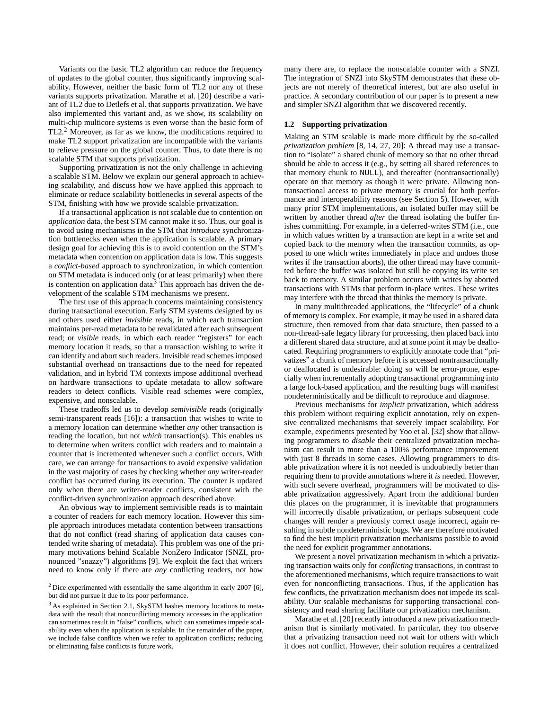Variants on the basic TL2 algorithm can reduce the frequency of updates to the global counter, thus significantly improving scalability. However, neither the basic form of TL2 nor any of these variants supports privatization. Marathe et al. [20] describe a variant of TL2 due to Detlefs et al. that supports privatization. We have also implemented this variant and, as we show, its scalability on multi-chip multicore systems is even worse than the basic form of TL2.<sup>2</sup> Moreover, as far as we know, the modifications required to make TL2 support privatization are incompatible with the variants to relieve pressure on the global counter. Thus, to date there is no scalable STM that supports privatization.

Supporting privatization is not the only challenge in achieving a scalable STM. Below we explain our general approach to achieving scalability, and discuss how we have applied this approach to eliminate or reduce scalability bottlenecks in several aspects of the STM, finishing with how we provide scalable privatization.

If a transactional application is not scalable due to contention on *application* data, the best STM cannot make it so. Thus, our goal is to avoid using mechanisms in the STM that *introduce* synchronization bottlenecks even when the application is scalable. A primary design goal for achieving this is to avoid contention on the STM's metadata when contention on application data is low. This suggests a *conflict-based* approach to synchronization, in which contention on STM metadata is induced only (or at least primarily) when there is contention on application data.<sup>3</sup> This approach has driven the development of the scalable STM mechanisms we present.

The first use of this approach concerns maintaining consistency during transactional execution. Early STM systems designed by us and others used either *invisible* reads, in which each transaction maintains per-read metadata to be revalidated after each subsequent read; or *visible* reads, in which each reader "registers" for each memory location it reads, so that a transaction wishing to write it can identify and abort such readers. Invisible read schemes imposed substantial overhead on transactions due to the need for repeated validation, and in hybrid TM contexts impose additional overhead on hardware transactions to update metadata to allow software readers to detect conflicts. Visible read schemes were complex, expensive, and nonscalable.

These tradeoffs led us to develop *semivisible* reads (originally semi-transparent reads [16]): a transaction that wishes to write to a memory location can determine whether *any* other transaction is reading the location, but not *which* transaction(s). This enables us to determine when writers conflict with readers and to maintain a counter that is incremented whenever such a conflict occurs. With care, we can arrange for transactions to avoid expensive validation in the vast majority of cases by checking whether *any* writer-reader conflict has occurred during its execution. The counter is updated only when there are writer-reader conflicts, consistent with the conflict-driven synchronization approach described above.

An obvious way to implement semivisible reads is to maintain a counter of readers for each memory location. However this simple approach introduces metadata contention between transactions that do not conflict (read sharing of application data causes contended write sharing of metadata). This problem was one of the primary motivations behind Scalable NonZero Indicator (SNZI, pronounced "snazzy") algorithms [9]. We exploit the fact that writers need to know only if there are *any* conflicting readers, not how many there are, to replace the nonscalable counter with a SNZI. The integration of SNZI into SkySTM demonstrates that these objects are not merely of theoretical interest, but are also useful in practice. A secondary contribution of our paper is to present a new and simpler SNZI algorithm that we discovered recently.

#### **1.2 Supporting privatization**

Making an STM scalable is made more difficult by the so-called *privatization problem* [8, 14, 27, 20]: A thread may use a transaction to "isolate" a shared chunk of memory so that no other thread should be able to access it (e.g., by setting all shared references to that memory chunk to NULL), and thereafter (nontransactionally) operate on that memory as though it were private. Allowing nontransactional access to private memory is crucial for both performance and interoperability reasons (see Section 5). However, with many prior STM implementations, an isolated buffer may still be written by another thread *after* the thread isolating the buffer finishes committing. For example, in a deferred-writes STM (i.e., one in which values written by a transaction are kept in a write set and copied back to the memory when the transaction commits, as opposed to one which writes immediately in place and undoes those writes if the transaction aborts), the other thread may have committed before the buffer was isolated but still be copying its write set back to memory. A similar problem occurs with writes by aborted transactions with STMs that perform in-place writes. These writes may interfere with the thread that thinks the memory is private.

In many multithreaded applications, the "lifecycle" of a chunk of memory is complex. For example, it may be used in a shared data structure, then removed from that data structure, then passed to a non-thread-safe legacy library for processing, then placed back into a different shared data structure, and at some point it may be deallocated. Requiring programmers to explicitly annotate code that "privatizes" a chunk of memory before it is accessed nontransactionally or deallocated is undesirable: doing so will be error-prone, especially when incrementally adopting transactional programming into a large lock-based application, and the resulting bugs will manifest nondeterministically and be difficult to reproduce and diagnose.

Previous mechanisms for *implicit* privatization, which address this problem without requiring explicit annotation, rely on expensive centralized mechanisms that severely impact scalability. For example, experiments presented by Yoo et al. [32] show that allowing programmers to *disable* their centralized privatization mechanism can result in more than a 100% performance improvement with just 8 threads in some cases. Allowing programmers to disable privatization where it is *not* needed is undoubtedly better than requiring them to provide annotations where it *is* needed. However, with such severe overhead, programmers will be motivated to disable privatization aggressively. Apart from the additional burden this places on the programmer, it is inevitable that programmers will incorrectly disable privatization, or perhaps subsequent code changes will render a previously correct usage incorrect, again resulting in subtle nondeterministic bugs. We are therefore motivated to find the best implicit privatization mechanisms possible to avoid the need for explicit programmer annotations.

We present a novel privatization mechanism in which a privatizing transaction waits only for *conflicting* transactions, in contrast to the aforementioned mechanisms, which require transactions to wait even for nonconflicting transactions. Thus, if the application has few conflicts, the privatization mechanism does not impede its scalability. Our scalable mechanisms for supporting transactional consistency and read sharing facilitate our privatization mechanism.

Marathe et al. [20] recently introduced a new privatization mechanism that is similarly motivated. In particular, they too observe that a privatizing transaction need not wait for others with which it does not conflict. However, their solution requires a centralized

 $2$  Dice experimented with essentially the same algorithm in early 2007 [6], but did not pursue it due to its poor performance.

<sup>&</sup>lt;sup>3</sup> As explained in Section 2.1, SkySTM hashes memory locations to metadata with the result that nonconflicting memory accesses in the application can sometimes result in "false" conflicts, which can sometimes impede scalability even when the application is scalable. In the remainder of the paper, we include false conflicts when we refer to application conflicts; reducing or eliminating false conflicts is future work.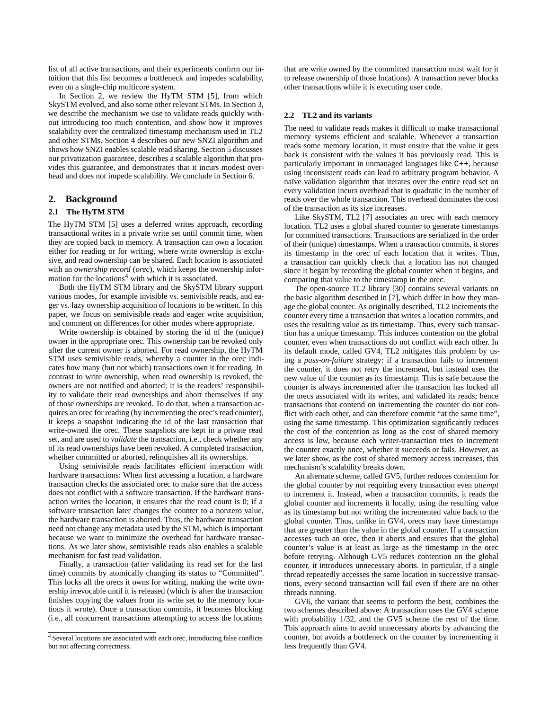list of all active transactions, and their experiments confirm our intuition that this list becomes a bottleneck and impedes scalability, even on a single-chip multicore system.

In Section 2, we review the HyTM STM [5], from which SkySTM evolved, and also some other relevant STMs. In Section 3, we describe the mechanism we use to validate reads quickly without introducing too much contention, and show how it improves scalability over the centralized timestamp mechanism used in TL2 and other STMs. Section 4 describes our new SNZI algorithm and shows how SNZI enables scalable read sharing. Section 5 discusses our privatization guarantee, describes a scalable algorithm that provides this guarantee, and demonstrates that it incurs modest overhead and does not impede scalability. We conclude in Section 6.

# **2. Background**

# **2.1 The HyTM STM**

The HyTM STM [5] uses a deferred writes approach, recording transactional writes in a private write set until commit time, when they are copied back to memory. A transaction can own a location either for reading or for writing, where write ownership is exclusive, and read ownership can be shared. Each location is associated with an *ownership record* (*orec*), which keeps the ownership information for the locations<sup>4</sup> with which it is associated.

Both the HyTM STM library and the SkySTM library support various modes, for example invisible vs. semivisible reads, and eager vs. lazy ownership acquisition of locations to be written. In this paper, we focus on semivisible reads and eager write acquisition, and comment on differences for other modes where appropriate.

Write ownership is obtained by storing the id of the (unique) owner in the appropriate orec. This ownership can be revoked only after the current owner is aborted. For read ownership, the HyTM STM uses semivisible reads, whereby a counter in the orec indicates how many (but not which) transactions own it for reading. In contrast to write ownership, when read ownership is revoked, the owners are not notified and aborted; it is the readers' responsibility to validate their read ownerships and abort themselves if any of those ownerships are revoked. To do that, when a transaction acquires an orec for reading (by incrementing the orec's read counter), it keeps a snapshot indicating the id of the last transaction that write-owned the orec. These snapshots are kept in a private read set, and are used to *validate* the transaction, i.e., check whether any of its read ownerships have been revoked. A completed transaction, whether committed or aborted, relinquishes all its ownerships.

Using semivisible reads facilitates efficient interaction with hardware transactions: When first accessing a location, a hardware transaction checks the associated orec to make sure that the access does not conflict with a software transaction. If the hardware transaction writes the location, it ensures that the read count is 0; if a software transaction later changes the counter to a nonzero value, the hardware transaction is aborted. Thus, the hardware transaction need not change any metadata used by the STM, which is important because we want to minimize the overhead for hardware transactions. As we later show, semivisible reads also enables a scalable mechanism for fast read validation.

Finally, a transaction (after validating its read set for the last time) commits by atomically changing its status to "Committed". This locks all the orecs it owns for writing, making the write ownership irrevocable until it is released (which is after the transaction finishes copying the values from its write set to the memory locations it wrote). Once a transaction commits, it becomes blocking (i.e., all concurrent transactions attempting to access the locations that are write owned by the committed transaction must wait for it to release ownership of those locations). A transaction never blocks other transactions while it is executing user code.

### **2.2 TL2 and its variants**

The need to validate reads makes it difficult to make transactional memory systems efficient and scalable. Whenever a transaction reads some memory location, it must ensure that the value it gets back is consistent with the values it has previously read. This is particularly important in unmanaged languages like C++, because using inconsistent reads can lead to arbitrary program behavior. A naïve validation algorithm that iterates over the entire read set on every validation incurs overhead that is quadratic in the number of reads over the whole transaction. This overhead dominates the cost of the transaction as its size increases.

Like SkySTM, TL2 [7] associates an orec with each memory location. TL2 uses a global shared counter to generate timestamps for committed transactions. Transactions are serialized in the order of their (unique) timestamps. When a transaction commits, it stores its timestamp in the orec of each location that it writes. Thus, a transaction can quickly check that a location has not changed since it began by recording the global counter when it begins, and comparing that value to the timestamp in the orec.

The open-source TL2 library [30] contains several variants on the basic algorithm described in [7], which differ in how they manage the global counter. As originally described, TL2 increments the counter every time a transaction that writes a location commits, and uses the resulting value as its timestamp. Thus, every such transaction has a unique timestamp. This induces contention on the global counter, even when transactions do not conflict with each other. In its default mode, called GV4, TL2 mitigates this problem by using a *pass-on-failure* strategy: if a transaction fails to increment the counter, it does not retry the increment, but instead uses the new value of the counter as its timestamp. This is safe because the counter is always incremented after the transaction has locked all the orecs associated with its writes, and validated its reads; hence transactions that contend on incrementing the counter do not conflict with each other, and can therefore commit "at the same time", using the same timestamp. This optimization significantly reduces the cost of the contention as long as the cost of shared memory access is low, because each writer-transaction tries to increment the counter exactly once, whether it succeeds or fails. However, as we later show, as the cost of shared memory access increases, this mechanism's scalability breaks down.

An alternate scheme, called GV5, further reduces contention for the global counter by not requiring every transaction even *attempt* to increment it. Instead, when a transaction commits, it reads the global counter and increments it locally, using the resulting value as its timestamp but not writing the incremented value back to the global counter. Thus, unlike in GV4, orecs may have timestamps that are greater than the value in the global counter. If a transaction accesses such an orec, then it aborts and ensures that the global counter's value is at least as large as the timestamp in the orec before retrying. Although GV5 reduces contention on the global counter, it introduces unnecessary aborts. In particular, if a single thread repeatedly accesses the same location in successive transactions, every second transaction will fail even if there are no other threads running.

GV6, the variant that seems to perform the best, combines the two schemes described above: A transaction uses the GV4 scheme with probability 1/32, and the GV5 scheme the rest of the time. This approach aims to avoid unnecessary aborts by advancing the counter, but avoids a bottleneck on the counter by incrementing it less frequently than GV4.

<sup>4</sup> Several locations are associated with each orec, introducing false conflicts but not affecting correctness.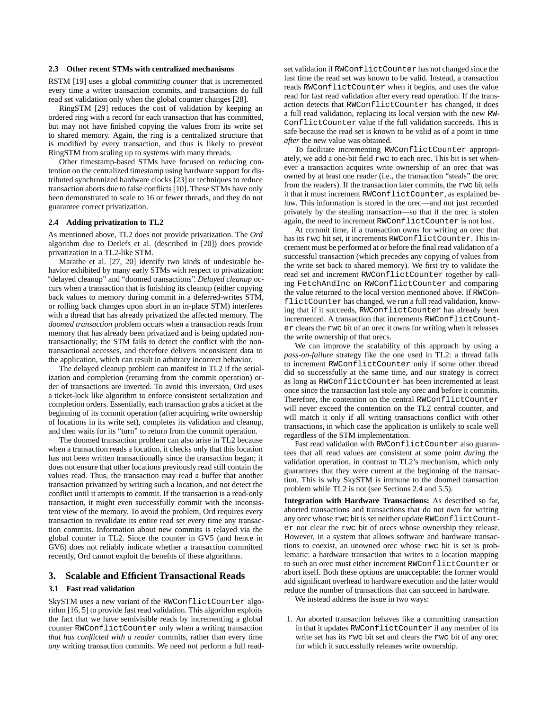## **2.3 Other recent STMs with centralized mechanisms**

RSTM [19] uses a global *committing counter* that is incremented every time a writer transaction commits, and transactions do full read set validation only when the global counter changes [28].

RingSTM [29] reduces the cost of validation by keeping an ordered ring with a record for each transaction that has committed, but may not have finished copying the values from its write set to shared memory. Again, the ring is a centralized structure that is modified by every transaction, and thus is likely to prevent RingSTM from scaling up to systems with many threads.

Other timestamp-based STMs have focused on reducing contention on the centralized timestamp using hardware support for distributed synchronized hardware clocks [23] or techniques to reduce transaction aborts due to false conflicts [10]. These STMs have only been demonstrated to scale to 16 or fewer threads, and they do not guarantee correct privatization.

## **2.4 Adding privatization to TL2**

As mentioned above, TL2 does not provide privatization. The *Ord* algorithm due to Detlefs et al. (described in [20]) does provide privatization in a TL2-like STM.

Marathe et al. [27, 20] identify two kinds of undesirable behavior exhibited by many early STMs with respect to privatization: "delayed cleanup" and "doomed transactions". *Delayed cleanup* occurs when a transaction that is finishing its cleanup (either copying back values to memory during commit in a deferred-writes STM, or rolling back changes upon abort in an in-place STM) interferes with a thread that has already privatized the affected memory. The *doomed transaction* problem occurs when a transaction reads from memory that has already been privatized and is being updated nontransactionally; the STM fails to detect the conflict with the nontransactional accesses, and therefore delivers inconsistent data to the application, which can result in arbitrary incorrect behavior.

The delayed cleanup problem can manifest in TL2 if the serialization and completion (returning from the commit operation) order of transactions are inverted. To avoid this inversion, Ord uses a ticket-lock like algorithm to enforce consistent serialization and completion orders. Essentially, each transaction grabs a ticket at the beginning of its commit operation (after acquiring write ownership of locations in its write set), completes its validation and cleanup, and then waits for its "turn" to return from the commit operation.

The doomed transaction problem can also arise in TL2 because when a transaction reads a location, it checks only that this location has not been written transactionally since the transaction began; it does not ensure that other locations previously read still contain the values read. Thus, the transaction may read a buffer that another transaction privatized by writing such a location, and not detect the conflict until it attempts to commit. If the transaction is a read-only transaction, it might even successfully commit with the inconsistent view of the memory. To avoid the problem, Ord requires every transaction to revalidate its entire read set every time any transaction commits. Information about new commits is relayed via the global counter in TL2. Since the counter in GV5 (and hence in GV6) does not reliably indicate whether a transaction committed recently, Ord cannot exploit the benefits of these algorithms.

# **3. Scalable and Efficient Transactional Reads**

#### **3.1 Fast read validation**

SkySTM uses a new variant of the RWConflictCounter algorithm [16, 5] to provide fast read validation. This algorithm exploits the fact that we have semivisible reads by incrementing a global counter RWConflictCounter only when a writing transaction *that has conflicted with a reader* commits, rather than every time *any* writing transaction commits. We need not perform a full read-

set validation if RWConflictCounter has not changed since the last time the read set was known to be valid. Instead, a transaction reads RWConflictCounter when it begins, and uses the value read for fast read validation after every read operation. If the transaction detects that RWConflictCounter has changed, it does a full read validation, replacing its local version with the new RW-ConflictCounter value if the full validation succeeds. This is safe because the read set is known to be valid as of a point in time *after* the new value was obtained.

To facilitate incrementing RWConflictCounter appropriately, we add a one-bit field rwc to each orec. This bit is set whenever a transaction acquires write ownership of an orec that was owned by at least one reader (i.e., the transaction "steals" the orec from the readers). If the transaction later commits, the rwc bit tells it that it must increment RWConflictCounter, as explained below. This information is stored in the orec—and not just recorded privately by the stealing transaction—so that if the orec is stolen again, the need to increment RWConflictCounter is not lost.

At commit time, if a transaction owns for writing an orec that has its rwc bit set, it increments RWConflictCounter. This increment must be performed at or before the final read validation of a successful transaction (which precedes any copying of values from the write set back to shared memory). We first try to validate the read set and increment RWConflictCounter together by calling FetchAndInc on RWConflictCounter and comparing the value returned to the local version mentioned above. If RWConflictCounter has changed, we run a full read validation, knowing that if it succeeds, RWConflictCounter has already been incremented. A transaction that increments RWConflictCounter clears the rwc bit of an orec it owns for writing when it releases the write ownership of that orecs.

We can improve the scalability of this approach by using a *pass-on-failure* strategy like the one used in TL2: a thread fails to increment RWConflictCounter only if some other thread did so successfully at the same time, and our strategy is correct as long as RWConflictCounter has been incremented at least once since the transaction last stole any orec and before it commits. Therefore, the contention on the central RWConflictCounter will never exceed the contention on the TL2 central counter, and will match it only if all writing transactions conflict with other transactions, in which case the application is unlikely to scale well regardless of the STM implementation.

Fast read validation with RWConflictCounter also guarantees that all read values are consistent at some point *during* the validation operation, in contrast to TL2's mechanism, which only guarantees that they were current at the beginning of the transaction. This is why SkySTM is immune to the doomed transaction problem while TL2 is not (see Sections 2.4 and 5.5).

**Integration with Hardware Transactions:** As described so far, aborted transactions and transactions that do not own for writing any orec whose rwc bit is set neither update RWConflictCounter nor clear the rwc bit of orecs whose ownership they release. However, in a system that allows software and hardware transactions to coexist, an unowned orec whose rwc bit is set is problematic: a hardware transaction that writes to a location mapping to such an orec must either increment RWConflictCounter or abort itself. Both these options are unacceptable: the former would add significant overhead to hardware execution and the latter would reduce the number of transactions that can succeed in hardware.

We instead address the issue in two ways:

1. An aborted transaction behaves like a committing transaction in that it updates RWConflictCounter if any member of its write set has its rwc bit set and clears the rwc bit of any orec for which it successfully releases write ownership.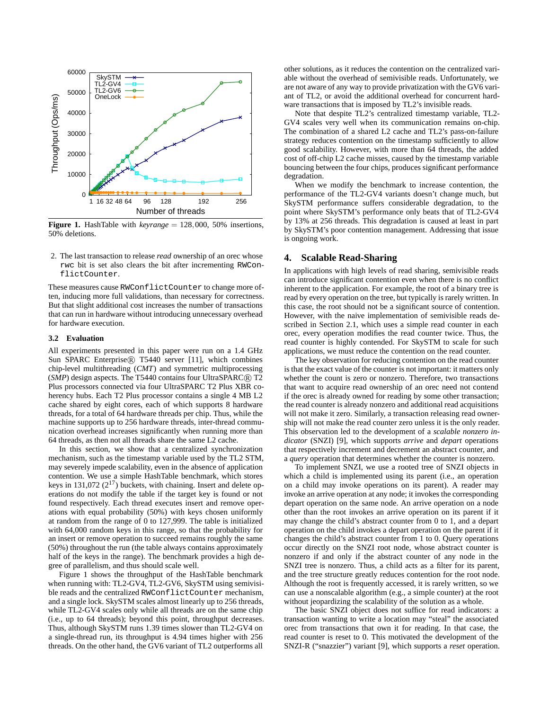

**Figure 1.** HashTable with *keyrange* = 128,000, 50% insertions, 50% deletions.

2. The last transaction to release *read* ownership of an orec whose rwc bit is set also clears the bit after incrementing RWConflictCounter.

These measures cause RWConflictCounter to change more often, inducing more full validations, than necessary for correctness. But that slight additional cost increases the number of transactions that can run in hardware without introducing unnecessary overhead for hardware execution.

## **3.2 Evaluation**

All experiments presented in this paper were run on a 1.4 GHz Sun SPARC Enterprise® T5440 server [11], which combines chip-level multithreading (*CMT*) and symmetric multiprocessing (*SMP*) design aspects. The T5440 contains four UltraSPARC® T2 Plus processors connected via four UltraSPARC T2 Plus XBR coherency hubs. Each T2 Plus processor contains a single 4 MB L2 cache shared by eight cores, each of which supports 8 hardware threads, for a total of 64 hardware threads per chip. Thus, while the machine supports up to 256 hardware threads, inter-thread communication overhead increases significantly when running more than 64 threads, as then not all threads share the same L2 cache.

In this section, we show that a centralized synchronization mechanism, such as the timestamp variable used by the TL2 STM, may severely impede scalability, even in the absence of application contention. We use a simple HashTable benchmark, which stores keys in 131,072 ( $2^{17}$ ) buckets, with chaining. Insert and delete operations do not modify the table if the target key is found or not found respectively. Each thread executes insert and remove operations with equal probability (50%) with keys chosen uniformly at random from the range of 0 to 127,999. The table is initialized with 64,000 random keys in this range, so that the probability for an insert or remove operation to succeed remains roughly the same (50%) throughout the run (the table always contains approximately half of the keys in the range). The benchmark provides a high degree of parallelism, and thus should scale well.

Figure 1 shows the throughput of the HashTable benchmark when running with: TL2-GV4, TL2-GV6, SkySTM using semivisible reads and the centralized RWConflictCounter mechanism, and a single lock. SkySTM scales almost linearly up to 256 threads, while TL2-GV4 scales only while all threads are on the same chip (i.e., up to 64 threads); beyond this point, throughput decreases. Thus, although SkySTM runs 1.39 times slower than TL2-GV4 on a single-thread run, its throughput is 4.94 times higher with 256 threads. On the other hand, the GV6 variant of TL2 outperforms all other solutions, as it reduces the contention on the centralized variable without the overhead of semivisible reads. Unfortunately, we are not aware of any way to provide privatization with the GV6 variant of TL2, or avoid the additional overhead for concurrent hardware transactions that is imposed by TL2's invisible reads.

Note that despite TL2's centralized timestamp variable, TL2- GV4 scales very well when its communication remains on-chip. The combination of a shared L2 cache and TL2's pass-on-failure strategy reduces contention on the timestamp sufficiently to allow good scalability. However, with more than 64 threads, the added cost of off-chip L2 cache misses, caused by the timestamp variable bouncing between the four chips, produces significant performance degradation.

When we modify the benchmark to increase contention, the performance of the TL2-GV4 variants doesn't change much, but SkySTM performance suffers considerable degradation, to the point where SkySTM's performance only beats that of TL2-GV4 by 13% at 256 threads. This degradation is caused at least in part by SkySTM's poor contention management. Addressing that issue is ongoing work.

# **4. Scalable Read-Sharing**

In applications with high levels of read sharing, semivisible reads can introduce significant contention even when there is no conflict inherent to the application. For example, the root of a binary tree is read by every operation on the tree, but typically is rarely written. In this case, the root should not be a significant source of contention. However, with the naive implementation of semivisible reads described in Section 2.1, which uses a simple read counter in each orec, every operation modifies the read counter twice. Thus, the read counter is highly contended. For SkySTM to scale for such applications, we must reduce the contention on the read counter.

The key observation for reducing contention on the read counter is that the exact value of the counter is not important: it matters only whether the count is zero or nonzero. Therefore, two transactions that want to acquire read ownership of an orec need not contend if the orec is already owned for reading by some other transaction; the read counter is already nonzero and additional read acquisitions will not make it zero. Similarly, a transaction releasing read ownership will not make the read counter zero unless it is the only reader. This observation led to the development of a *scalable nonzero indicator* (SNZI) [9], which supports *arrive* and *depart* operations that respectively increment and decrement an abstract counter, and a *query* operation that determines whether the counter is nonzero.

To implement SNZI, we use a rooted tree of SNZI objects in which a child is implemented using its parent (i.e., an operation on a child may invoke operations on its parent). A reader may invoke an arrive operation at any node; it invokes the corresponding depart operation on the same node. An arrive operation on a node other than the root invokes an arrive operation on its parent if it may change the child's abstract counter from 0 to 1, and a depart operation on the child invokes a depart operation on the parent if it changes the child's abstract counter from 1 to 0. Query operations occur directly on the SNZI root node, whose abstract counter is nonzero if and only if the abstract counter of any node in the SNZI tree is nonzero. Thus, a child acts as a filter for its parent, and the tree structure greatly reduces contention for the root node. Although the root is frequently accessed, it is rarely written, so we can use a nonscalable algorithm (e.g., a simple counter) at the root without jeopardizing the scalability of the solution as a whole.

The basic SNZI object does not suffice for read indicators: a transaction wanting to write a location may "steal" the associated orec from transactions that own it for reading. In that case, the read counter is reset to 0. This motivated the development of the SNZI-R ("snazzier") variant [9], which supports a *reset* operation.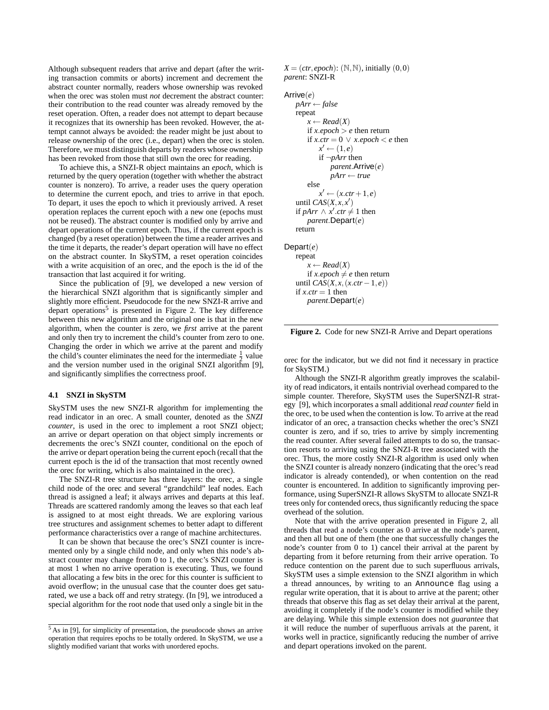Although subsequent readers that arrive and depart (after the writing transaction commits or aborts) increment and decrement the abstract counter normally, readers whose ownership was revoked when the orec was stolen must *not* decrement the abstract counter: their contribution to the read counter was already removed by the reset operation. Often, a reader does not attempt to depart because it recognizes that its ownership has been revoked. However, the attempt cannot always be avoided: the reader might be just about to release ownership of the orec (i.e., depart) when the orec is stolen. Therefore, we must distinguish departs by readers whose ownership has been revoked from those that still own the orec for reading.

To achieve this, a SNZI-R object maintains an *epoch*, which is returned by the query operation (together with whether the abstract counter is nonzero). To arrive, a reader uses the query operation to determine the current epoch, and tries to arrive in that epoch. To depart, it uses the epoch to which it previously arrived. A reset operation replaces the current epoch with a new one (epochs must not be reused). The abstract counter is modified only by arrive and depart operations of the current epoch. Thus, if the current epoch is changed (by a reset operation) between the time a reader arrives and the time it departs, the reader's depart operation will have no effect on the abstract counter. In SkySTM, a reset operation coincides with a write acquisition of an orec, and the epoch is the id of the transaction that last acquired it for writing.

Since the publication of [9], we developed a new version of the hierarchical SNZI algorithm that is significantly simpler and slightly more efficient. Pseudocode for the new SNZI-R arrive and depart operations<sup>5</sup> is presented in Figure 2. The key difference between this new algorithm and the original one is that in the new algorithm, when the counter is zero, we *first* arrive at the parent and only then try to increment the child's counter from zero to one. Changing the order in which we arrive at the parent and modify the child's counter eliminates the need for the intermediate  $\frac{1}{2}$  value and the version number used in the original SNZI algorithm [9], and significantly simplifies the correctness proof.

## **4.1 SNZI in SkySTM**

SkySTM uses the new SNZI-R algorithm for implementing the read indicator in an orec. A small counter, denoted as the *SNZI counter*, is used in the orec to implement a root SNZI object; an arrive or depart operation on that object simply increments or decrements the orec's SNZI counter, conditional on the epoch of the arrive or depart operation being the current epoch (recall that the current epoch is the id of the transaction that most recently owned the orec for writing, which is also maintained in the orec).

The SNZI-R tree structure has three layers: the orec, a single child node of the orec and several "grandchild" leaf nodes. Each thread is assigned a leaf; it always arrives and departs at this leaf. Threads are scattered randomly among the leaves so that each leaf is assigned to at most eight threads. We are exploring various tree structures and assignment schemes to better adapt to different performance characteristics over a range of machine architectures.

It can be shown that because the orec's SNZI counter is incremented only by a single child node, and only when this node's abstract counter may change from 0 to 1, the orec's SNZI counter is at most 1 when no arrive operation is executing. Thus, we found that allocating a few bits in the orec for this counter is sufficient to avoid overflow; in the unusual case that the counter does get saturated, we use a back off and retry strategy. (In [9], we introduced a special algorithm for the root node that used only a single bit in the  $X = (ctr, epoch)$ : (N,N), initially (0,0) *parent*: SNZI-R

#### Arrive(*e*)

```
pArr ← false
   repeat
       x \leftarrow Read(X)if x.epoch \geq e then return
        if x.ctr = 0 \vee x.epoch < e then
            x' \leftarrow (1, e)if ¬pArr then
                parent.Arrive(e)
                pArr ← true
        else
            x' \leftarrow (x. \text{ctr} + 1, e)until CAS(X, x, x')if pArr ∧ x'.ctr \neq 1 then
       parent.Depart(e)
    return
Depart(e)
   repeat
        x \leftarrow Read(X)if x.epoch \neq e then return
    until CAS(X, x,(x.ctr−1, e))
    if x.ctr = 1 then
        parent.Depart(e)
```
**Figure 2.** Code for new SNZI-R Arrive and Depart operations

orec for the indicator, but we did not find it necessary in practice for SkySTM.)

Although the SNZI-R algorithm greatly improves the scalability of read indicators, it entails nontrivial overhead compared to the simple counter. Therefore, SkySTM uses the SuperSNZI-R strategy [9], which incorporates a small additional *read counter* field in the orec, to be used when the contention is low. To arrive at the read indicator of an orec, a transaction checks whether the orec's SNZI counter is zero, and if so, tries to arrive by simply incrementing the read counter. After several failed attempts to do so, the transaction resorts to arriving using the SNZI-R tree associated with the orec. Thus, the more costly SNZI-R algorithm is used only when the SNZI counter is already nonzero (indicating that the orec's read indicator is already contended), or when contention on the read counter is encountered. In addition to significantly improving performance, using SuperSNZI-R allows SkySTM to allocate SNZI-R trees only for contended orecs, thus significantly reducing the space overhead of the solution.

Note that with the arrive operation presented in Figure 2, all threads that read a node's counter as 0 arrive at the node's parent, and then all but one of them (the one that successfully changes the node's counter from 0 to 1) cancel their arrival at the parent by departing from it before returning from their arrive operation. To reduce contention on the parent due to such superfluous arrivals, SkySTM uses a simple extension to the SNZI algorithm in which a thread announces, by writing to an Announce flag using a regular write operation, that it is about to arrive at the parent; other threads that observe this flag as set delay their arrival at the parent, avoiding it completely if the node's counter is modified while they are delaying. While this simple extension does not *guarantee* that it will reduce the number of superfluous arrivals at the parent, it works well in practice, significantly reducing the number of arrive and depart operations invoked on the parent.

<sup>5</sup> As in [9], for simplicity of presentation, the pseudocode shows an arrive operation that requires epochs to be totally ordered. In SkySTM, we use a slightly modified variant that works with unordered epochs.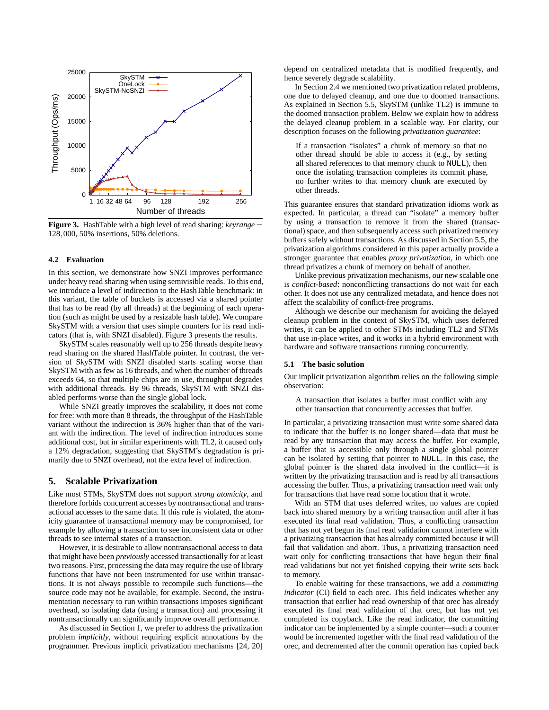

**Figure 3.** HashTable with a high level of read sharing: *keyrange* = 128,000, 50% insertions, 50% deletions.

# **4.2 Evaluation**

In this section, we demonstrate how SNZI improves performance under heavy read sharing when using semivisible reads. To this end, we introduce a level of indirection to the HashTable benchmark: in this variant, the table of buckets is accessed via a shared pointer that has to be read (by all threads) at the beginning of each operation (such as might be used by a resizable hash table). We compare SkySTM with a version that uses simple counters for its read indicators (that is, with SNZI disabled). Figure 3 presents the results.

SkySTM scales reasonably well up to 256 threads despite heavy read sharing on the shared HashTable pointer. In contrast, the version of SkySTM with SNZI disabled starts scaling worse than SkySTM with as few as 16 threads, and when the number of threads exceeds 64, so that multiple chips are in use, throughput degrades with additional threads. By 96 threads, SkySTM with SNZI disabled performs worse than the single global lock.

While SNZI greatly improves the scalability, it does not come for free: with more than 8 threads, the throughput of the HashTable variant without the indirection is 36% higher than that of the variant with the indirection. The level of indirection introduces some additional cost, but in similar experiments with TL2, it caused only a 12% degradation, suggesting that SkySTM's degradation is primarily due to SNZI overhead, not the extra level of indirection.

# **5. Scalable Privatization**

Like most STMs, SkySTM does not support *strong atomicity*, and therefore forbids concurrent accesses by nontransactional and transactional accesses to the same data. If this rule is violated, the atomicity guarantee of transactional memory may be compromised, for example by allowing a transaction to see inconsistent data or other threads to see internal states of a transaction.

However, it is desirable to allow nontransactional access to data that might have been *previously* accessed transactionally for at least two reasons. First, processing the data may require the use of library functions that have not been instrumented for use within transactions. It is not always possible to recompile such functions—the source code may not be available, for example. Second, the instrumentation necessary to run within transactions imposes significant overhead, so isolating data (using a transaction) and processing it nontransactionally can significantly improve overall performance.

As discussed in Section 1, we prefer to address the privatization problem *implicitly*, without requiring explicit annotations by the programmer. Previous implicit privatization mechanisms [24, 20] depend on centralized metadata that is modified frequently, and hence severely degrade scalability.

In Section 2.4 we mentioned two privatization related problems, one due to delayed cleanup, and one due to doomed transactions. As explained in Section 5.5, SkySTM (unlike TL2) is immune to the doomed transaction problem. Below we explain how to address the delayed cleanup problem in a scalable way. For clarity, our description focuses on the following *privatization guarantee*:

If a transaction "isolates" a chunk of memory so that no other thread should be able to access it (e.g., by setting all shared references to that memory chunk to NULL), then once the isolating transaction completes its commit phase, no further writes to that memory chunk are executed by other threads.

This guarantee ensures that standard privatization idioms work as expected. In particular, a thread can "isolate" a memory buffer by using a transaction to remove it from the shared (transactional) space, and then subsequently access such privatized memory buffers safely without transactions. As discussed in Section 5.5, the privatization algorithms considered in this paper actually provide a stronger guarantee that enables *proxy privatization*, in which one thread privatizes a chunk of memory on behalf of another.

Unlike previous privatization mechanisms, our new scalable one is *conflict-based*: nonconflicting transactions do not wait for each other. It does not use any centralized metadata, and hence does not affect the scalability of conflict-free programs.

Although we describe our mechanism for avoiding the delayed cleanup problem in the context of SkySTM, which uses deferred writes, it can be applied to other STMs including TL2 and STMs that use in-place writes, and it works in a hybrid environment with hardware and software transactions running concurrently.

## **5.1 The basic solution**

Our implicit privatization algorithm relies on the following simple observation:

A transaction that isolates a buffer must conflict with any other transaction that concurrently accesses that buffer.

In particular, a privatizing transaction must write some shared data to indicate that the buffer is no longer shared—data that must be read by any transaction that may access the buffer. For example, a buffer that is accessible only through a single global pointer can be isolated by setting that pointer to NULL. In this case, the global pointer is the shared data involved in the conflict—it is written by the privatizing transaction and is read by all transactions accessing the buffer. Thus, a privatizing transaction need wait only for transactions that have read some location that it wrote.

With an STM that uses deferred writes, no values are copied back into shared memory by a writing transaction until after it has executed its final read validation. Thus, a conflicting transaction that has not yet begun its final read validation cannot interfere with a privatizing transaction that has already committed because it will fail that validation and abort. Thus, a privatizing transaction need wait only for conflicting transactions that have begun their final read validations but not yet finished copying their write sets back to memory.

To enable waiting for these transactions, we add a *committing indicator* (CI) field to each orec. This field indicates whether any transaction that earlier had read ownership of that orec has already executed its final read validation of that orec, but has not yet completed its copyback. Like the read indicator, the committing indicator can be implemented by a simple counter—such a counter would be incremented together with the final read validation of the orec, and decremented after the commit operation has copied back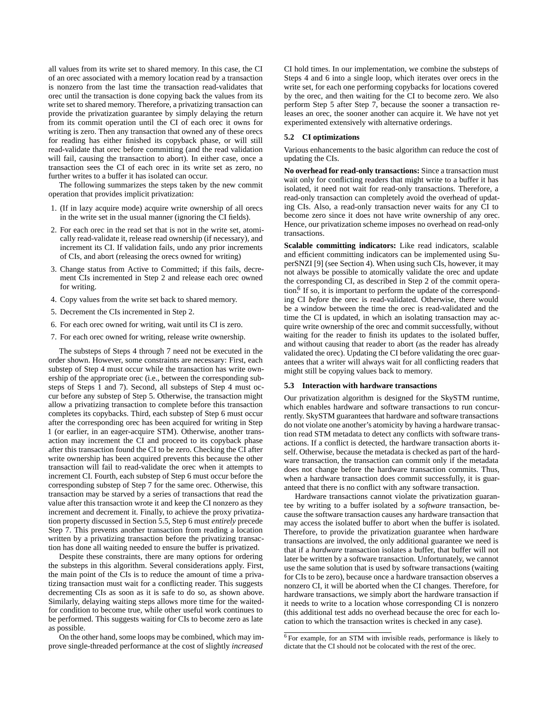all values from its write set to shared memory. In this case, the CI of an orec associated with a memory location read by a transaction is nonzero from the last time the transaction read-validates that orec until the transaction is done copying back the values from its write set to shared memory. Therefore, a privatizing transaction can provide the privatization guarantee by simply delaying the return from its commit operation until the CI of each orec it owns for writing is zero. Then any transaction that owned any of these orecs for reading has either finished its copyback phase, or will still read-validate that orec before committing (and the read validation will fail, causing the transaction to abort). In either case, once a transaction sees the CI of each orec in its write set as zero, no further writes to a buffer it has isolated can occur.

The following summarizes the steps taken by the new commit operation that provides implicit privatization:

- 1. (If in lazy acquire mode) acquire write ownership of all orecs in the write set in the usual manner (ignoring the CI fields).
- 2. For each orec in the read set that is not in the write set, atomically read-validate it, release read ownership (if necessary), and increment its CI. If validation fails, undo any prior increments of CIs, and abort (releasing the orecs owned for writing)
- 3. Change status from Active to Committed; if this fails, decrement CIs incremented in Step 2 and release each orec owned for writing.
- 4. Copy values from the write set back to shared memory.
- 5. Decrement the CIs incremented in Step 2.
- 6. For each orec owned for writing, wait until its CI is zero.
- 7. For each orec owned for writing, release write ownership.

The substeps of Steps 4 through 7 need not be executed in the order shown. However, some constraints are necessary: First, each substep of Step 4 must occur while the transaction has write ownership of the appropriate orec (i.e., between the corresponding substeps of Steps 1 and 7). Second, all substeps of Step 4 must occur before any substep of Step 5. Otherwise, the transaction might allow a privatizing transaction to complete before this transaction completes its copybacks. Third, each substep of Step 6 must occur after the corresponding orec has been acquired for writing in Step 1 (or earlier, in an eager-acquire STM). Otherwise, another transaction may increment the CI and proceed to its copyback phase after this transaction found the CI to be zero. Checking the CI after write ownership has been acquired prevents this because the other transaction will fail to read-validate the orec when it attempts to increment CI. Fourth, each substep of Step 6 must occur before the corresponding substep of Step 7 for the same orec. Otherwise, this transaction may be starved by a series of transactions that read the value after this transaction wrote it and keep the CI nonzero as they increment and decrement it. Finally, to achieve the proxy privatization property discussed in Section 5.5, Step 6 must *entirely* precede Step 7. This prevents another transaction from reading a location written by a privatizing transaction before the privatizing transaction has done all waiting needed to ensure the buffer is privatized.

Despite these constraints, there are many options for ordering the substeps in this algorithm. Several considerations apply. First, the main point of the CIs is to reduce the amount of time a privatizing transaction must wait for a conflicting reader. This suggests decrementing CIs as soon as it is safe to do so, as shown above. Similarly, delaying waiting steps allows more time for the waitedfor condition to become true, while other useful work continues to be performed. This suggests waiting for CIs to become zero as late as possible.

On the other hand, some loops may be combined, which may improve single-threaded performance at the cost of slightly *increased*

CI hold times. In our implementation, we combine the substeps of Steps 4 and 6 into a single loop, which iterates over orecs in the write set, for each one performing copybacks for locations covered by the orec, and then waiting for the CI to become zero. We also perform Step 5 after Step 7, because the sooner a transaction releases an orec, the sooner another can acquire it. We have not yet experimented extensively with alternative orderings.

## **5.2 CI optimizations**

Various enhancements to the basic algorithm can reduce the cost of updating the CIs.

**No overhead for read-only transactions:** Since a transaction must wait only for conflicting readers that might write to a buffer it has isolated, it need not wait for read-only transactions. Therefore, a read-only transaction can completely avoid the overhead of updating CIs. Also, a read-only transaction never waits for any CI to become zero since it does not have write ownership of any orec. Hence, our privatization scheme imposes no overhead on read-only transactions.

**Scalable committing indicators:** Like read indicators, scalable and efficient committing indicators can be implemented using SuperSNZI [9] (see Section 4). When using such CIs, however, it may not always be possible to atomically validate the orec and update the corresponding CI, as described in Step 2 of the commit operation.<sup>6</sup> If so, it is important to perform the update of the corresponding CI *before* the orec is read-validated. Otherwise, there would be a window between the time the orec is read-validated and the time the CI is updated, in which an isolating transaction may acquire write ownership of the orec and commit successfully, without waiting for the reader to finish its updates to the isolated buffer, and without causing that reader to abort (as the reader has already validated the orec). Updating the CI before validating the orec guarantees that a writer will always wait for all conflicting readers that might still be copying values back to memory.

#### **5.3 Interaction with hardware transactions**

Our privatization algorithm is designed for the SkySTM runtime, which enables hardware and software transactions to run concurrently. SkySTM guarantees that hardware and software transactions do not violate one another's atomicity by having a hardware transaction read STM metadata to detect any conflicts with software transactions. If a conflict is detected, the hardware transaction aborts itself. Otherwise, because the metadata is checked as part of the hardware transaction, the transaction can commit only if the metadata does not change before the hardware transaction commits. Thus, when a hardware transaction does commit successfully, it is guaranteed that there is no conflict with any software transaction.

Hardware transactions cannot violate the privatization guarantee by writing to a buffer isolated by a *software* transaction, because the software transaction causes any hardware transaction that may access the isolated buffer to abort when the buffer is isolated. Therefore, to provide the privatization guarantee when hardware transactions are involved, the only additional guarantee we need is that if a *hardware* transaction isolates a buffer, that buffer will not later be written by a software transaction. Unfortunately, we cannot use the same solution that is used by software transactions (waiting for CIs to be zero), because once a hardware transaction observes a nonzero CI, it will be aborted when the CI changes. Therefore, for hardware transactions, we simply abort the hardware transaction if it needs to write to a location whose corresponding CI is nonzero (this additional test adds no overhead because the orec for each location to which the transaction writes is checked in any case).

<sup>6</sup> For example, for an STM with invisible reads, performance is likely to dictate that the CI should not be colocated with the rest of the orec.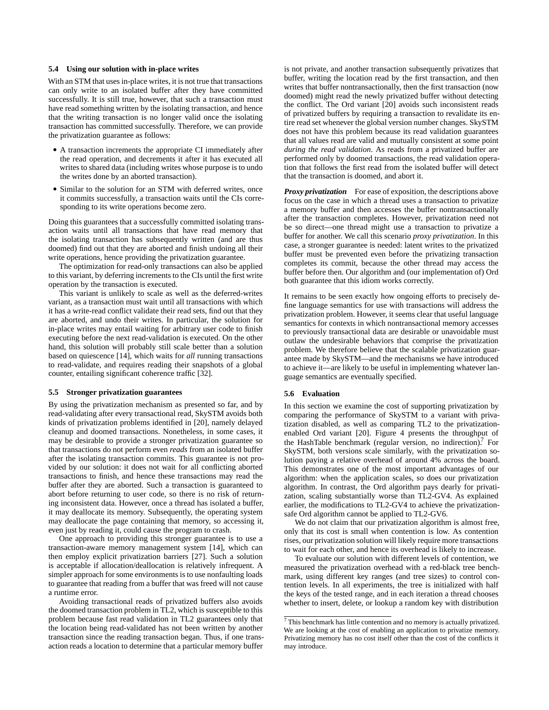## **5.4 Using our solution with in-place writes**

With an STM that uses in-place writes, it is not true that transactions can only write to an isolated buffer after they have committed successfully. It is still true, however, that such a transaction must have read something written by the isolating transaction, and hence that the writing transaction is no longer valid once the isolating transaction has committed successfully. Therefore, we can provide the privatization guarantee as follows:

- A transaction increments the appropriate CI immediately after the read operation, and decrements it after it has executed all writes to shared data (including writes whose purpose is to undo the writes done by an aborted transaction).
- Similar to the solution for an STM with deferred writes, once it commits successfully, a transaction waits until the CIs corresponding to its write operations become zero.

Doing this guarantees that a successfully committed isolating transaction waits until all transactions that have read memory that the isolating transaction has subsequently written (and are thus doomed) find out that they are aborted and finish undoing all their write operations, hence providing the privatization guarantee.

The optimization for read-only transactions can also be applied to this variant, by deferring increments to the CIs until the first write operation by the transaction is executed.

This variant is unlikely to scale as well as the deferred-writes variant, as a transaction must wait until all transactions with which it has a write-read conflict validate their read sets, find out that they are aborted, and undo their writes. In particular, the solution for in-place writes may entail waiting for arbitrary user code to finish executing before the next read-validation is executed. On the other hand, this solution will probably still scale better than a solution based on quiescence [14], which waits for *all* running transactions to read-validate, and requires reading their snapshots of a global counter, entailing significant coherence traffic [32].

#### **5.5 Stronger privatization guarantees**

By using the privatization mechanism as presented so far, and by read-validating after every transactional read, SkySTM avoids both kinds of privatization problems identified in [20], namely delayed cleanup and doomed transactions. Nonetheless, in some cases, it may be desirable to provide a stronger privatization guarantee so that transactions do not perform even *reads* from an isolated buffer after the isolating transaction commits. This guarantee is not provided by our solution: it does not wait for all conflicting aborted transactions to finish, and hence these transactions may read the buffer after they are aborted. Such a transaction is guaranteed to abort before returning to user code, so there is no risk of returning inconsistent data. However, once a thread has isolated a buffer, it may deallocate its memory. Subsequently, the operating system may deallocate the page containing that memory, so accessing it, even just by reading it, could cause the program to crash.

One approach to providing this stronger guarantee is to use a transaction-aware memory management system [14], which can then employ explicit privatization barriers [27]. Such a solution is acceptable if allocation/deallocation is relatively infrequent. A simpler approach for some environments is to use nonfaulting loads to guarantee that reading from a buffer that was freed will not cause a runtime error.

Avoiding transactional reads of privatized buffers also avoids the doomed transaction problem in TL2, which is susceptible to this problem because fast read validation in TL2 guarantees only that the location being read-validated has not been written by another transaction since the reading transaction began. Thus, if one transaction reads a location to determine that a particular memory buffer is not private, and another transaction subsequently privatizes that buffer, writing the location read by the first transaction, and then writes that buffer nontransactionally, then the first transaction (now doomed) might read the newly privatized buffer without detecting the conflict. The Ord variant [20] avoids such inconsistent reads of privatized buffers by requiring a transaction to revalidate its entire read set whenever the global version number changes. SkySTM does not have this problem because its read validation guarantees that all values read are valid and mutually consistent at some point *during the read validation*. As reads from a privatized buffer are performed only by doomed transactions, the read validation operation that follows the first read from the isolated buffer will detect that the transaction is doomed, and abort it.

*Proxy privatization* For ease of exposition, the descriptions above focus on the case in which a thread uses a transaction to privatize a memory buffer and then accesses the buffer nontransactionally after the transaction completes. However, privatization need not be so direct—one thread might use a transaction to privatize a buffer for another. We call this scenario *proxy privatization*. In this case, a stronger guarantee is needed: latent writes to the privatized buffer must be prevented even before the privatizing transaction completes its commit, because the other thread may access the buffer before then. Our algorithm and (our implementation of) Ord both guarantee that this idiom works correctly.

It remains to be seen exactly how ongoing efforts to precisely define language semantics for use with transactions will address the privatization problem. However, it seems clear that useful language semantics for contexts in which nontransactional memory accesses to previously transactional data are desirable or unavoidable must outlaw the undesirable behaviors that comprise the privatization problem. We therefore believe that the scalable privatization guarantee made by SkySTM—and the mechanisms we have introduced to achieve it—are likely to be useful in implementing whatever language semantics are eventually specified.

#### **5.6 Evaluation**

In this section we examine the cost of supporting privatization by comparing the performance of SkySTM to a variant with privatization disabled, as well as comparing TL2 to the privatizationenabled Ord variant [20]. Figure 4 presents the throughput of the HashTable benchmark (regular version, no indirection).<sup>7</sup> For SkySTM, both versions scale similarly, with the privatization solution paying a relative overhead of around 4% across the board. This demonstrates one of the most important advantages of our algorithm: when the application scales, so does our privatization algorithm. In contrast, the Ord algorithm pays dearly for privatization, scaling substantially worse than TL2-GV4. As explained earlier, the modifications to TL2-GV4 to achieve the privatizationsafe Ord algorithm cannot be applied to TL2-GV6.

We do not claim that our privatization algorithm is almost free, only that its cost is small when contention is low. As contention rises, our privatization solution will likely require more transactions to wait for each other, and hence its overhead is likely to increase.

To evaluate our solution with different levels of contention, we measured the privatization overhead with a red-black tree benchmark, using different key ranges (and tree sizes) to control contention levels. In all experiments, the tree is initialized with half the keys of the tested range, and in each iteration a thread chooses whether to insert, delete, or lookup a random key with distribution

 $7$  This benchmark has little contention and no memory is actually privatized. We are looking at the cost of enabling an application to privatize memory. Privatizing memory has no cost itself other than the cost of the conflicts it may introduce.